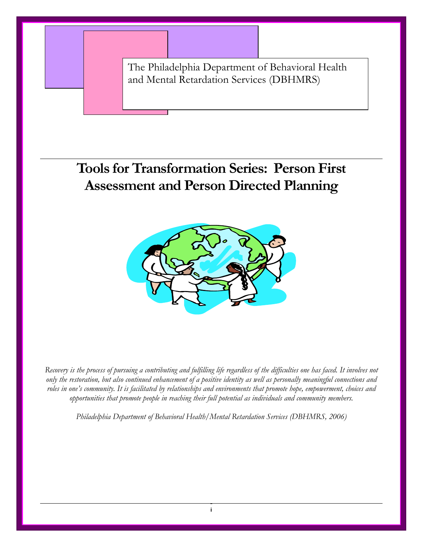The Philadelphia Department of Behavioral Health and Mental Retardation Services (DBHMRS)

## **Tools for Transformation Series: Person First Assessment and Person Directed Planning**



*Recovery is the process of pursuing a contributing and fulfilling life regardless of the difficulties one has faced. It involves not only the restoration, but also continued enhancement of a positive identity as well as personally meaningful connections and roles in one's community. It is facilitated by relationships and environments that promote hope, empowerment, choices and opportunities that promote people in reaching their full potential as individuals and community members.* 

*Philadelphia Department of Behavioral Health/Mental Retardation Services (DBHMRS, 2006)*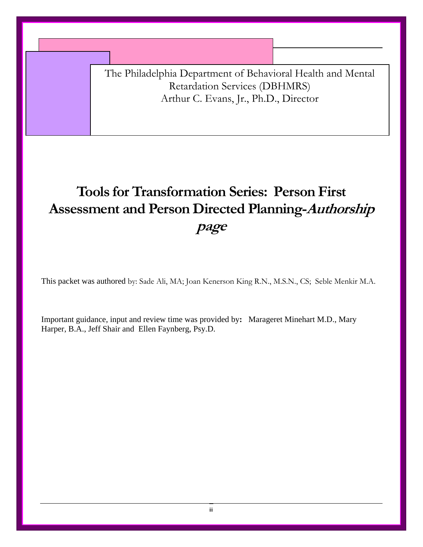The Philadelphia Department of Behavioral Health and Mental Retardation Services (DBHMRS) Arthur C. Evans, Jr., Ph.D., Director

# **Tools for Transformation Series: Person First Assessment and Person Directed Planning-Authorship page**

This packet was authored by: Sade Ali, MA; Joan Kenerson King R.N., M.S.N., CS; Seble Menkir M.A.

Important guidance, input and review time was provided by**:** Marageret Minehart M.D., Mary Harper, B.A., Jeff Shair and Ellen Faynberg, Psy.D.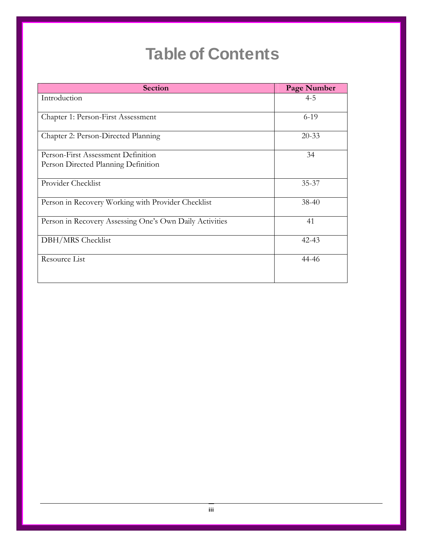# **Table of Contents**

| <b>Section</b>                                          | Page Number |
|---------------------------------------------------------|-------------|
| Introduction                                            | $4 - 5$     |
| Chapter 1: Person-First Assessment                      | $6-19$      |
| Chapter 2: Person-Directed Planning                     | $20 - 33$   |
| Person-First Assessment Definition                      | 34          |
| Person Directed Planning Definition                     |             |
| Provider Checklist                                      | $35 - 37$   |
| Person in Recovery Working with Provider Checklist      | $38-40$     |
| Person in Recovery Assessing One's Own Daily Activities | 41          |
| DBH/MRS Checklist                                       | $42 - 43$   |
| Resource List                                           | 44-46       |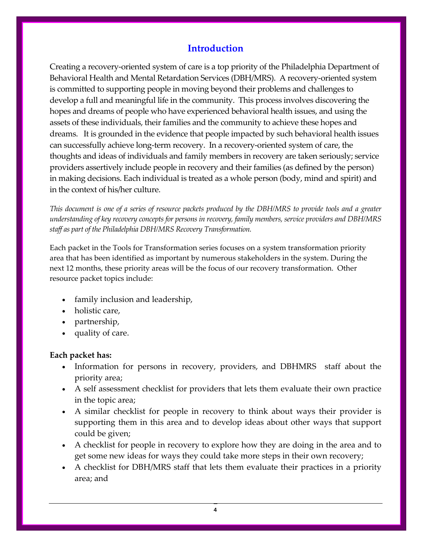## **Introduction**

Creating a recovery‐oriented system of care is a top priority of the Philadelphia Department of Behavioral Health and Mental Retardation Services (DBH/MRS). A recovery‐oriented system is committed to supporting people in moving beyond their problems and challenges to develop a full and meaningful life in the community. This process involves discovering the hopes and dreams of people who have experienced behavioral health issues, and using the assets of these individuals, their families and the community to achieve these hopes and dreams. It is grounded in the evidence that people impacted by such behavioral health issues can successfully achieve long‐term recovery. In a recovery‐oriented system of care, the thoughts and ideas of individuals and family members in recovery are taken seriously; service providers assertively include people in recovery and their families (as defined by the person) in making decisions. Each individual is treated as a whole person (body, mind and spirit) and in the context of his/her culture.

This document is one of a series of resource packets produced by the DBH/MRS to provide tools and a greater *understanding of key recovery concepts for persons in recovery, family members, service providers and DBH/MRS staff as part of the Philadelphia DBH/MRS Recovery Transformation.*

Each packet in the Tools for Transformation series focuses on a system transformation priority area that has been identified as important by numerous stakeholders in the system. During the next 12 months, these priority areas will be the focus of our recovery transformation. Other resource packet topics include:

- family inclusion and leadership,
- holistic care,
- partnership,
- quality of care.

#### **Each packet has:**

- Information for persons in recovery, providers, and DBHMRS staff about the priority area;
- A self assessment checklist for providers that lets them evaluate their own practice in the topic area;
- A similar checklist for people in recovery to think about ways their provider is supporting them in this area and to develop ideas about other ways that support could be given;
- A checklist for people in recovery to explore how they are doing in the area and to get some new ideas for ways they could take more steps in their own recovery;
- A checklist for DBH/MRS staff that lets them evaluate their practices in a priority area; and

4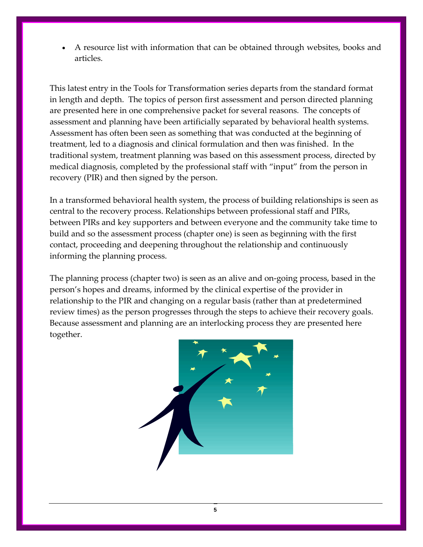A resource list with information that can be obtained through websites, books and articles.

This latest entry in the Tools for Transformation series departs from the standard format in length and depth. The topics of person first assessment and person directed planning are presented here in one comprehensive packet for several reasons. The concepts of assessment and planning have been artificially separated by behavioral health systems. Assessment has often been seen as something that was conducted at the beginning of treatment, led to a diagnosis and clinical formulation and then was finished. In the traditional system, treatment planning was based on this assessment process, directed by medical diagnosis, completed by the professional staff with "input" from the person in recovery (PIR) and then signed by the person.

In a transformed behavioral health system, the process of building relationships is seen as central to the recovery process. Relationships between professional staff and PIRs, between PIRs and key supporters and between everyone and the community take time to build and so the assessment process (chapter one) is seen as beginning with the first contact, proceeding and deepening throughout the relationship and continuously informing the planning process.

The planning process (chapter two) is seen as an alive and on‐going process, based in the person's hopes and dreams, informed by the clinical expertise of the provider in relationship to the PIR and changing on a regular basis (rather than at predetermined review times) as the person progresses through the steps to achieve their recovery goals. Because assessment and planning are an interlocking process they are presented here together.



5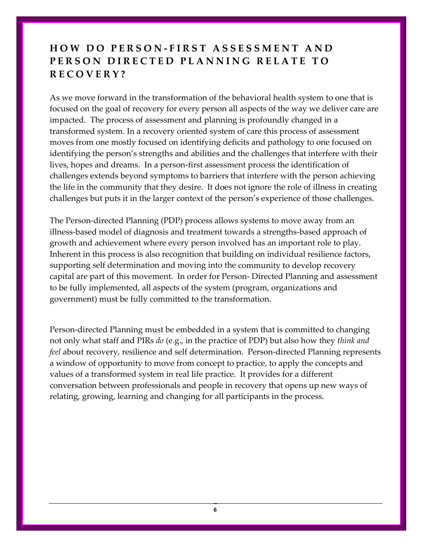## **HOW D O PERSON ‐ FIRST ASSESSMENT AND PERSON DIRECTED PLANNING RELATE T O RECOVERY?**

As we move forward in the transformation of the behavioral health system to one that is focused on the goal of recovery for every person all aspects of the way we deliver care are impacted. The process of assessment and planning is profoundly changed in a transformed system. In a recovery oriented system of care this process of assessment moves from one mostly focused on identifying deficits and pathology to one focused on identifying the person's strengths and abilities and the challenges that interfere with their lives, hopes and dreams. In a person‐first assessment process the identification of challenges extends beyond symptoms to barriers that interfere with the person achieving the life in the community that they desire. It does not ignore the role of illness in creating challenges but puts it in the larger context of the person's experience of those challenges.

The Person‐directed Planning (PDP) process allows systems to move away from an illness‐based model of diagnosis and treatment towards a strengths‐based approach of growth and achievement where every person involved has an important role to play. Inherent in this process is also recognition that building on individual resilience factors, supporting self determination and moving into the community to develop recovery capital are part of this movement. In order for Person‐ Directed Planning and assessment to be fully implemented, all aspects of the system (program, organizations and government) must be fully committed to the transformation.

Person‐directed Planning must be embedded in a system that is committed to changing not only what staff and PIRs *do* (e.g., in the practice of PDP) but also how they *think and feel* about recovery, resilience and self determination. Person-directed Planning represents a window of opportunity to move from concept to practice, to apply the concepts and values of a transformed system in real life practice. It provides for a different conversation between professionals and people in recovery that opens up new ways of relating, growing, learning and changing for all participants in the process.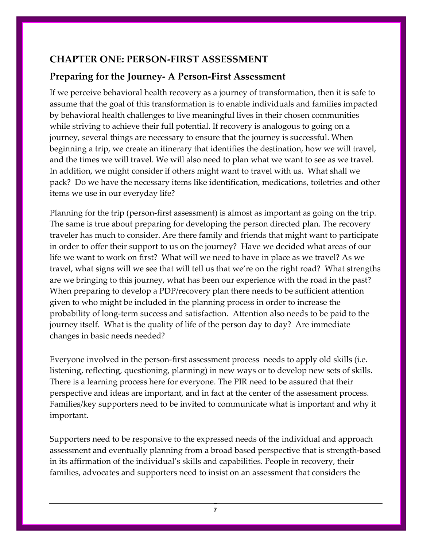## **CHAPTER ONE: PERSON‐FIRST ASSESSMENT**

## **Preparing for the Journey‐ A Person‐First Assessment**

If we perceive behavioral health recovery as a journey of transformation, then it is safe to assume that the goal of this transformation is to enable individuals and families impacted by behavioral health challenges to live meaningful lives in their chosen communities while striving to achieve their full potential. If recovery is analogous to going on a journey, several things are necessary to ensure that the journey is successful. When beginning a trip, we create an itinerary that identifies the destination, how we will travel, and the times we will travel. We will also need to plan what we want to see as we travel. In addition, we might consider if others might want to travel with us. What shall we pack? Do we have the necessary items like identification, medications, toiletries and other items we use in our everyday life?

Planning for the trip (person‐first assessment) is almost as important as going on the trip. The same is true about preparing for developing the person directed plan. The recovery traveler has much to consider. Are there family and friends that might want to participate in order to offer their support to us on the journey? Have we decided what areas of our life we want to work on first? What will we need to have in place as we travel? As we travel, what signs will we see that will tell us that we're on the right road? What strengths are we bringing to this journey, what has been our experience with the road in the past? When preparing to develop a PDP/recovery plan there needs to be sufficient attention given to who might be included in the planning process in order to increase the probability of long‐term success and satisfaction. Attention also needs to be paid to the journey itself. What is the quality of life of the person day to day? Are immediate changes in basic needs needed?

Everyone involved in the person-first assessment process needs to apply old skills (i.e. listening, reflecting, questioning, planning) in new ways or to develop new sets of skills. There is a learning process here for everyone. The PIR need to be assured that their perspective and ideas are important, and in fact at the center of the assessment process. Families/key supporters need to be invited to communicate what is important and why it important.

Supporters need to be responsive to the expressed needs of the individual and approach assessment and eventually planning from a broad based perspective that is strength‐based in its affirmation of the individual's skills and capabilities. People in recovery, their families, advocates and supporters need to insist on an assessment that considers the

7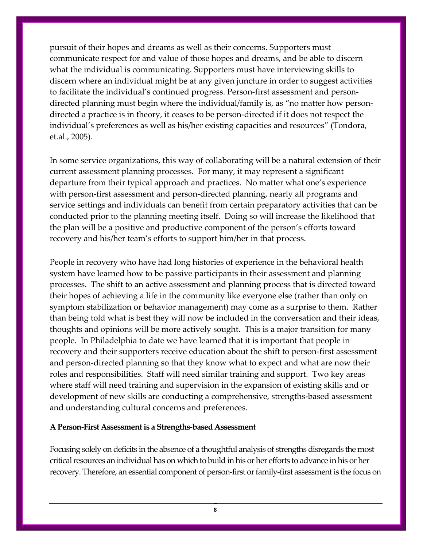pursuit of their hopes and dreams as well as their concerns. Supporters must communicate respect for and value of those hopes and dreams, and be able to discern what the individual is communicating. Supporters must have interviewing skills to discern where an individual might be at any given juncture in order to suggest activities to facilitate the individual's continued progress. Person‐first assessment and person‐ directed planning must begin where the individual/family is, as "no matter how person‐ directed a practice is in theory, it ceases to be person‐directed if it does not respect the individual's preferences as well as his/her existing capacities and resources" (Tondora, et.al., 2005).

In some service organizations, this way of collaborating will be a natural extension of their current assessment planning processes. For many, it may represent a significant departure from their typical approach and practices. No matter what one's experience with person-first assessment and person-directed planning, nearly all programs and service settings and individuals can benefit from certain preparatory activities that can be conducted prior to the planning meeting itself. Doing so will increase the likelihood that the plan will be a positive and productive component of the person's efforts toward recovery and his/her team's efforts to support him/her in that process.

People in recovery who have had long histories of experience in the behavioral health system have learned how to be passive participants in their assessment and planning processes. The shift to an active assessment and planning process that is directed toward their hopes of achieving a life in the community like everyone else (rather than only on symptom stabilization or behavior management) may come as a surprise to them. Rather than being told what is best they will now be included in the conversation and their ideas, thoughts and opinions will be more actively sought. This is a major transition for many people. In Philadelphia to date we have learned that it is important that people in recovery and their supporters receive education about the shift to person‐first assessment and person‐directed planning so that they know what to expect and what are now their roles and responsibilities. Staff will need similar training and support. Two key areas where staff will need training and supervision in the expansion of existing skills and or development of new skills are conducting a comprehensive, strengths‐based assessment and understanding cultural concerns and preferences.

#### **A Person‐First Assessment is a Strengths‐based Assessment**

Focusing solely on deficits in the absence of a thoughtful analysis of strengths disregards the most critical resources an individual has on which to build in his or her efforts to advance in his or her recovery. Therefore, an essential component of person-first or family-first assessment is the focus on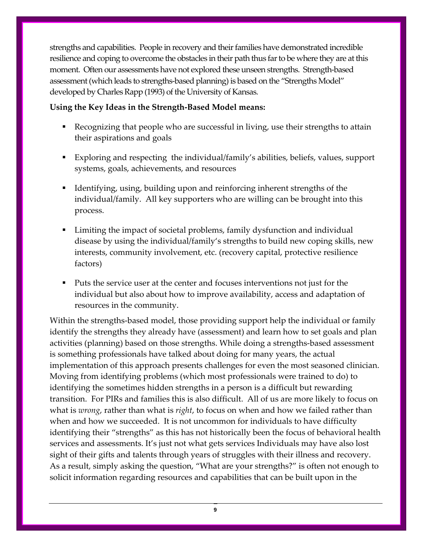strengths and capabilities. People in recovery and their families have demonstrated incredible resilience and coping to overcome the obstacles in their path thus farto be where they are at this moment. Often our assessments have not explored these unseen strengths. Strength‐based assessment (which leads to strengths-based planning) is based on the "Strengths Model" developed by Charles Rapp (1993) of the University of Kansas.

#### **Using the Key Ideas in the Strength‐Based Model means:**

- Recognizing that people who are successful in living, use their strengths to attain their aspirations and goals
- Exploring and respecting the individual/family's abilities, beliefs, values, support systems, goals, achievements, and resources
- Identifying, using, building upon and reinforcing inherent strengths of the individual/family. All key supporters who are willing can be brought into this process.
- Limiting the impact of societal problems, family dysfunction and individual disease by using the individual/family's strengths to build new coping skills, new interests, community involvement, etc. (recovery capital, protective resilience factors)
- Puts the service user at the center and focuses interventions not just for the individual but also about how to improve availability, access and adaptation of resources in the community.

Within the strengths-based model, those providing support help the individual or family identify the strengths they already have (assessment) and learn how to set goals and plan activities (planning) based on those strengths. While doing a strengths‐based assessment is something professionals have talked about doing for many years, the actual implementation of this approach presents challenges for even the most seasoned clinician. Moving from identifying problems (which most professionals were trained to do) to identifying the sometimes hidden strengths in a person is a difficult but rewarding transition. For PIRs and families this is also difficult. All of us are more likely to focus on what is *wrong*, rather than what is *right*, to focus on when and how we failed rather than when and how we succeeded. It is not uncommon for individuals to have difficulty identifying their "strengths" as this has not historically been the focus of behavioral health services and assessments. It's just not what gets services Individuals may have also lost sight of their gifts and talents through years of struggles with their illness and recovery. As a result, simply asking the question, "What are your strengths?" is often not enough to solicit information regarding resources and capabilities that can be built upon in the

9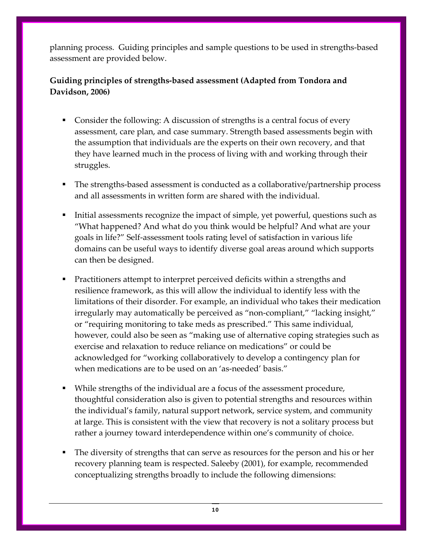planning process. Guiding principles and sample questions to be used in strengths‐based assessment are provided below.

### **Guiding principles of strengths‐based assessment (Adapted from Tondora and Davidson, 2006)**

- Consider the following: A discussion of strengths is a central focus of every assessment, care plan, and case summary. Strength based assessments begin with the assumption that individuals are the experts on their own recovery, and that they have learned much in the process of living with and working through their struggles.
- The strengths-based assessment is conducted as a collaborative/partnership process and all assessments in written form are shared with the individual.
- Initial assessments recognize the impact of simple, yet powerful, questions such as "What happened? And what do you think would be helpful? And what are your goals in life?" Self‐assessment tools rating level of satisfaction in various life domains can be useful ways to identify diverse goal areas around which supports can then be designed.
- Practitioners attempt to interpret perceived deficits within a strengths and resilience framework, as this will allow the individual to identify less with the limitations of their disorder. For example, an individual who takes their medication irregularly may automatically be perceived as "non‐compliant," "lacking insight," or "requiring monitoring to take meds as prescribed." This same individual, however, could also be seen as "making use of alternative coping strategies such as exercise and relaxation to reduce reliance on medications" or could be acknowledged for "working collaboratively to develop a contingency plan for when medications are to be used on an 'as-needed' basis."
- While strengths of the individual are a focus of the assessment procedure, thoughtful consideration also is given to potential strengths and resources within the individual's family, natural support network, service system, and community at large. This is consistent with the view that recovery is not a solitary process but rather a journey toward interdependence within one's community of choice.
- The diversity of strengths that can serve as resources for the person and his or her recovery planning team is respected. Saleeby (2001), for example, recommended conceptualizing strengths broadly to include the following dimensions: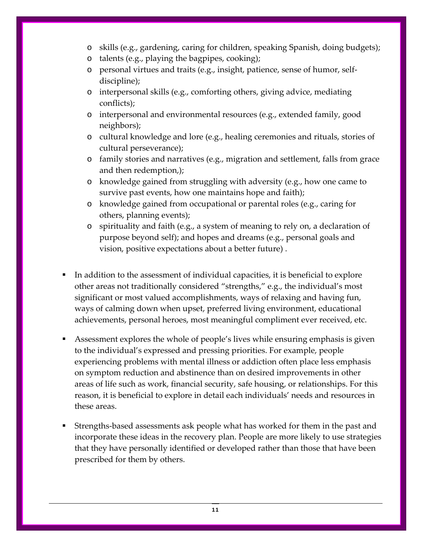- o skills (e.g., gardening, caring for children, speaking Spanish, doing budgets);
- o talents (e.g., playing the bagpipes, cooking);
- o personal virtues and traits (e.g., insight, patience, sense of humor, self‐ discipline);
- o interpersonal skills (e.g., comforting others, giving advice, mediating conflicts);
- o interpersonal and environmental resources (e.g., extended family, good neighbors);
- o cultural knowledge and lore (e.g., healing ceremonies and rituals, stories of cultural perseverance);
- o family stories and narratives (e.g., migration and settlement, falls from grace and then redemption,);
- o knowledge gained from struggling with adversity (e.g., how one came to survive past events, how one maintains hope and faith);
- o knowledge gained from occupational or parental roles (e.g., caring for others, planning events);
- o spirituality and faith (e.g., a system of meaning to rely on, a declaration of purpose beyond self); and hopes and dreams (e.g., personal goals and vision, positive expectations about a better future) .
- In addition to the assessment of individual capacities, it is beneficial to explore other areas not traditionally considered "strengths," e.g., the individual's most significant or most valued accomplishments, ways of relaxing and having fun, ways of calming down when upset, preferred living environment, educational achievements, personal heroes, most meaningful compliment ever received, etc.
- Assessment explores the whole of people's lives while ensuring emphasis is given to the individual's expressed and pressing priorities. For example, people experiencing problems with mental illness or addiction often place less emphasis on symptom reduction and abstinence than on desired improvements in other areas of life such as work, financial security, safe housing, or relationships. For this reason, it is beneficial to explore in detail each individuals' needs and resources in these areas.
- Strengths‐based assessments ask people what has worked for them in the past and incorporate these ideas in the recovery plan. People are more likely to use strategies that they have personally identified or developed rather than those that have been prescribed for them by others.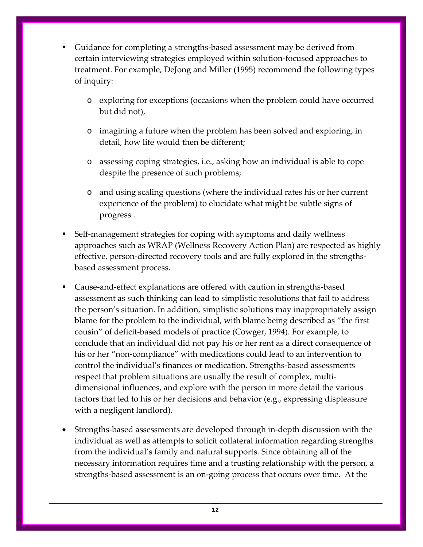- Guidance for completing a strengths‐based assessment may be derived from certain interviewing strategies employed within solution‐focused approaches to treatment. For example, DeJong and Miller (1995) recommend the following types of inquiry:
	- o exploring for exceptions (occasions when the problem could have occurred but did not),
	- o imagining a future when the problem has been solved and exploring, in detail, how life would then be different;
	- o assessing coping strategies, i.e., asking how an individual is able to cope despite the presence of such problems;
	- o and using scaling questions (where the individual rates his or her current experience of the problem) to elucidate what might be subtle signs of progress .
- Self‐management strategies for coping with symptoms and daily wellness approaches such as WRAP (Wellness Recovery Action Plan) are respected as highly effective, person-directed recovery tools and are fully explored in the strengthsbased assessment process.
- Cause‐and‐effect explanations are offered with caution in strengths‐based assessment as such thinking can lead to simplistic resolutions that fail to address the person's situation. In addition, simplistic solutions may inappropriately assign blame for the problem to the individual, with blame being described as "the first cousin" of deficit‐based models of practice (Cowger, 1994). For example, to conclude that an individual did not pay his or her rent as a direct consequence of his or her "non-compliance" with medications could lead to an intervention to control the individual's finances or medication. Strengths‐based assessments respect that problem situations are usually the result of complex, multi‐ dimensional influences, and explore with the person in more detail the various factors that led to his or her decisions and behavior (e.g., expressing displeasure with a negligent landlord).
- Strengths‐based assessments are developed through in‐depth discussion with the individual as well as attempts to solicit collateral information regarding strengths from the individual's family and natural supports. Since obtaining all of the necessary information requires time and a trusting relationship with the person, a strengths‐based assessment is an on‐going process that occurs over time. At the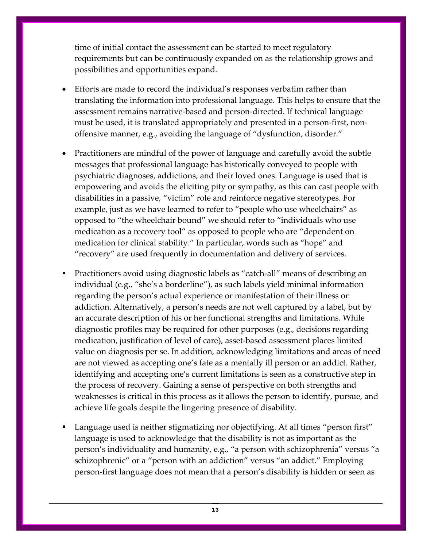time of initial contact the assessment can be started to meet regulatory requirements but can be continuously expanded on as the relationship grows and possibilities and opportunities expand.

- Efforts are made to record the individual's responses verbatim rather than translating the information into professional language. This helps to ensure that the assessment remains narrative‐based and person‐directed. If technical language must be used, it is translated appropriately and presented in a person-first, nonoffensive manner, e.g., avoiding the language of "dysfunction, disorder."
- Practitioners are mindful of the power of language and carefully avoid the subtle messages that professional language has historically conveyed to people with psychiatric diagnoses, addictions, and their loved ones. Language is used that is empowering and avoids the eliciting pity or sympathy, as this can cast people with disabilities in a passive, "victim" role and reinforce negative stereotypes. For example, just as we have learned to refer to "people who use wheelchairs" as opposed to "the wheelchair bound" we should refer to "individuals who use medication as a recovery tool" as opposed to people who are "dependent on medication for clinical stability." In particular, words such as "hope" and "recovery" are used frequently in documentation and delivery of services.
- Practitioners avoid using diagnostic labels as "catch‐all" means of describing an individual (e.g., "she's a borderline"), as such labels yield minimal information regarding the person's actual experience or manifestation of their illness or addiction. Alternatively, a person's needs are not well captured by a label, but by an accurate description of his or her functional strengths and limitations. While diagnostic profiles may be required for other purposes (e.g., decisions regarding medication, justification of level of care), asset-based assessment places limited value on diagnosis per se. In addition, acknowledging limitations and areas of need are not viewed as accepting one's fate as a mentally ill person or an addict. Rather, identifying and accepting one's current limitations is seen as a constructive step in the process of recovery. Gaining a sense of perspective on both strengths and weaknesses is critical in this process as it allows the person to identify, pursue, and achieve life goals despite the lingering presence of disability.
- Language used is neither stigmatizing nor objectifying. At all times "person first" language is used to acknowledge that the disability is not as important as the person's individuality and humanity, e.g., "a person with schizophrenia" versus "a schizophrenic" or a "person with an addiction" versus "an addict." Employing person‐first language does not mean that a person's disability is hidden or seen as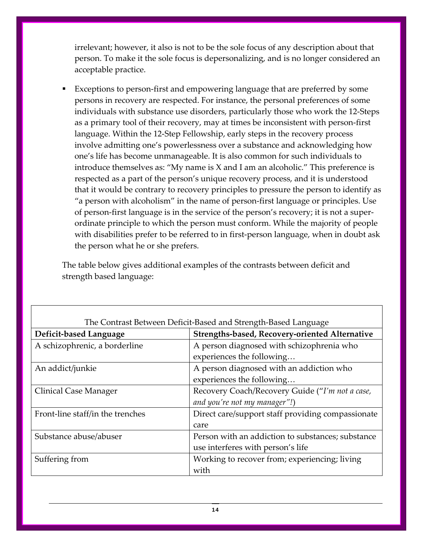irrelevant; however, it also is not to be the sole focus of any description about that person. To make it the sole focus is depersonalizing, and is no longer considered an acceptable practice.

 Exceptions to person‐first and empowering language that are preferred by some persons in recovery are respected. For instance, the personal preferences of some individuals with substance use disorders, particularly those who work the 12‐Steps as a primary tool of their recovery, may at times be inconsistent with person‐first language. Within the 12‐Step Fellowship, early steps in the recovery process involve admitting one's powerlessness over a substance and acknowledging how one's life has become unmanageable. It is also common for such individuals to introduce themselves as: "My name is X and I am an alcoholic." This preference is respected as a part of the person's unique recovery process, and it is understood that it would be contrary to recovery principles to pressure the person to identify as "a person with alcoholism" in the name of person‐first language or principles. Use of person‐first language is in the service of the person's recovery; it is not a super‐ ordinate principle to which the person must conform. While the majority of people with disabilities prefer to be referred to in first-person language, when in doubt ask the person what he or she prefers.

The table below gives additional examples of the contrasts between deficit and strength based language:

| The Contrast Between Deficit-Based and Strength-Based Language |                                                   |  |  |  |
|----------------------------------------------------------------|---------------------------------------------------|--|--|--|
| Deficit-based Language                                         | Strengths-based, Recovery-oriented Alternative    |  |  |  |
| A schizophrenic, a borderline                                  | A person diagnosed with schizophrenia who         |  |  |  |
|                                                                | experiences the following                         |  |  |  |
| An addict/junkie                                               | A person diagnosed with an addiction who          |  |  |  |
|                                                                | experiences the following                         |  |  |  |
| Clinical Case Manager                                          | Recovery Coach/Recovery Guide ("I'm not a case,   |  |  |  |
|                                                                | and you're not my manager"!)                      |  |  |  |
| Front-line staff/in the trenches                               | Direct care/support staff providing compassionate |  |  |  |
|                                                                | care                                              |  |  |  |
| Substance abuse/abuser                                         | Person with an addiction to substances; substance |  |  |  |
|                                                                | use interferes with person's life                 |  |  |  |
| Suffering from                                                 | Working to recover from; experiencing; living     |  |  |  |
|                                                                | with                                              |  |  |  |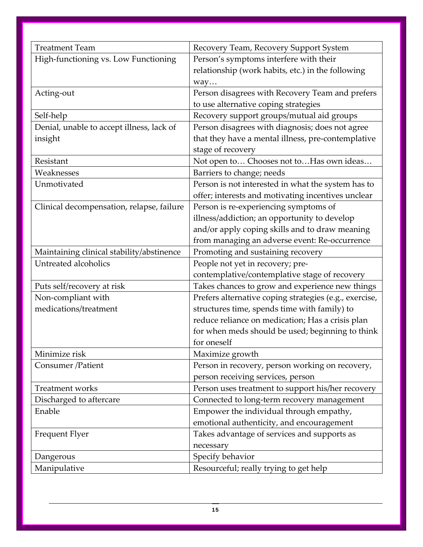| <b>Treatment Team</b>                     | Recovery Team, Recovery Support System                 |
|-------------------------------------------|--------------------------------------------------------|
| High-functioning vs. Low Functioning      | Person's symptoms interfere with their                 |
|                                           | relationship (work habits, etc.) in the following      |
|                                           | way                                                    |
| Acting-out                                | Person disagrees with Recovery Team and prefers        |
|                                           | to use alternative coping strategies                   |
| Self-help                                 | Recovery support groups/mutual aid groups              |
| Denial, unable to accept illness, lack of | Person disagrees with diagnosis; does not agree        |
| insight                                   | that they have a mental illness, pre-contemplative     |
|                                           | stage of recovery                                      |
| Resistant                                 | Not open to Chooses not to Has own ideas               |
| Weaknesses                                | Barriers to change; needs                              |
| Unmotivated                               | Person is not interested in what the system has to     |
|                                           | offer; interests and motivating incentives unclear     |
| Clinical decompensation, relapse, failure | Person is re-experiencing symptoms of                  |
|                                           | illness/addiction; an opportunity to develop           |
|                                           | and/or apply coping skills and to draw meaning         |
|                                           | from managing an adverse event: Re-occurrence          |
| Maintaining clinical stability/abstinence | Promoting and sustaining recovery                      |
| Untreated alcoholics                      | People not yet in recovery; pre-                       |
|                                           | contemplative/contemplative stage of recovery          |
| Puts self/recovery at risk                | Takes chances to grow and experience new things        |
| Non-compliant with                        | Prefers alternative coping strategies (e.g., exercise, |
| medications/treatment                     | structures time, spends time with family) to           |
|                                           | reduce reliance on medication; Has a crisis plan       |
|                                           | for when meds should be used; beginning to think       |
|                                           | for oneself                                            |
| Minimize risk                             | Maximize growth                                        |
| Consumer /Patient                         | Person in recovery, person working on recovery,        |
|                                           | person receiving services, person                      |
| Treatment works                           | Person uses treatment to support his/her recovery      |
| Discharged to aftercare                   | Connected to long-term recovery management             |
| Enable                                    | Empower the individual through empathy,                |
|                                           | emotional authenticity, and encouragement              |
| Frequent Flyer                            | Takes advantage of services and supports as            |
|                                           | necessary                                              |
| Dangerous                                 | Specify behavior                                       |
| Manipulative                              | Resourceful; really trying to get help                 |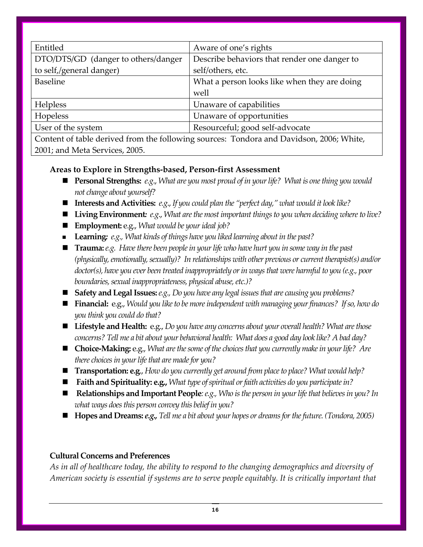| Entitled                            | Aware of one's rights                                                                 |
|-------------------------------------|---------------------------------------------------------------------------------------|
| DTO/DTS/GD (danger to others/danger | Describe behaviors that render one danger to                                          |
| to self,/general danger)            | self/others, etc.                                                                     |
| <b>Baseline</b>                     | What a person looks like when they are doing                                          |
|                                     | well                                                                                  |
| <b>Helpless</b>                     | Unaware of capabilities                                                               |
| Hopeless                            | Unaware of opportunities                                                              |
| User of the system                  | Resourceful; good self-advocate                                                       |
|                                     | Contant of table devived from the following courses: Topdays and Devideon 2006, White |

Content of table derived from the following sources: Tondora and Davidson, 2006; White, 2001; and Meta Services, 2005.

#### **Areas to Explore in Strengths‐based, Person‐first Assessment**

- **Personal Strengths:** *e.g.*, *What are you most proud of in your life? What is one thing you would not change about yourself?*
- **Interests and Activities:** *e.g*.,*If you could plan the "perfect day," what would it look like?*
- Living Environment: *e.g.*, *What are the most important things to you when deciding where to live?*
- **Employment:** e.g., *What would be your ideal job?*
- **Learning***: e.g., What kinds of things have you liked learning aboutin the past?*
- **Trauma:***e.g. Havethere been peoplein yourlife who have hurt you in some way in the past (physically,emotionally,sexually)? In relationships with other previous or current therapist(s) and/or doctor(s), have you ever been treated inappropriately orin waysthat were harmful to you (e.g., poor boundaries, sexual inappropriateness, physical abuse, etc.)?*
- Safety and Legal Issues: *e.g., Do you have any legal issues that are causing you problems?*
- **Financial:** e.g., *Would you like to be more independent with managing your finances? If so, how do you think you could do that?*
- Lifestyle and Health: e.g., *Do you have any concerns about your overall health? What are those* concerns? Tell me a bit about your behavioral health: What does a good day look like? A bad day?
- Choice-Making: e.g., *What are the some of the choices that you currently make in your life? Are there choicesin yourlifethat are madefor you?*
- **Transportation: e.g.**, *How do* you *currently get around from place to place? What would help?*
- Faith and Spirituality: e.g., What type of spiritual or faith activities do you participate in?
- **Relationships and Important People***:e.g., Who isthe person in yourlifethat believesin you? In what ways doesthis person convey this belief in you?*
- **Hopes and Dreams:** *e.g., Tell me a bit about your hopes or dreamsforthefuture. (Tondora, 2005)*

### **Cultural Concerns and Preferences**

*As in all of healthcare today, the ability to respond to the changing demographics and diversity of American society is essential if systems are to serve people equitably. It is critically important that*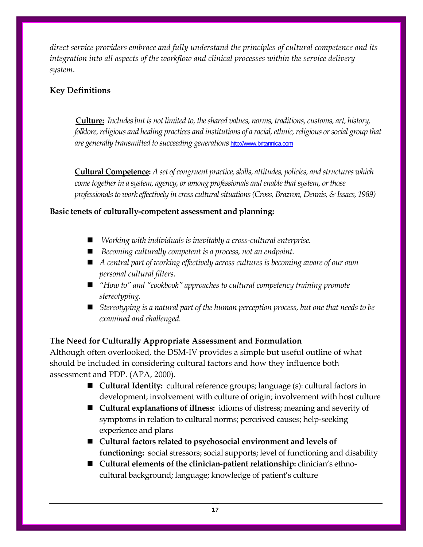*direct service providers embrace and fully understand the principles of cultural competence and its integration into all aspects of the workflow and clinical processes within the service delivery system*.

#### **Key Definitions**

**Culture:** *Includes but is not limited to,theshared values, norms,traditions, customs, art, history, folklore,religious and healing practices and institutions of a racial,ethnic,religious orsocial group that are generally transmitted to succeeding generations* [http://www.britannica.com](http://www.britannica.com/)

**Cultural Competence:** *A set of congruent practice,skills, attitudes, policies, and structures which cometogetherin a system, agency, or among professionals and enablethatsystem, orthose professionalsto work effectively in cross culturalsituations(Cross, Brazron, Dennis, & Issacs, 1989)*

#### **Basic tenets of culturally‐competent assessment and planning:**

- *Working with individuals is inevitably a cross‐cultural enterprise.*
- *Becoming culturally competent is a process, not an endpoint.*
- *A central part of working effectively across cultures is becoming aware of our own personal cultural filters.*
- *"How to"* and "*cookbook"* approaches to cultural *competency training promote stereotyping.*
- *Stereotyping is a natural part of the human perception process, but one that needs to be examined and challenged.*

### **The Need for Culturally Appropriate Assessment and Formulation**

Although often overlooked, the DSM‐IV provides a simple but useful outline of what should be included in considering cultural factors and how they influence both assessment and PDP. (APA, 2000).

- **Cultural Identity:** cultural reference groups; language (s): cultural factors in development; involvement with culture of origin; involvement with host culture
- **Cultural explanations of illness:** idioms of distress; meaning and severity of symptoms in relation to cultural norms; perceived causes; help-seeking experience and plans
- **Cultural factors related to psychosocial environment and levels of functioning:** social stressors; social supports; level of functioning and disability
- **Cultural elements of the clinician-patient relationship: clinician's ethno**cultural background; language; knowledge of patient's culture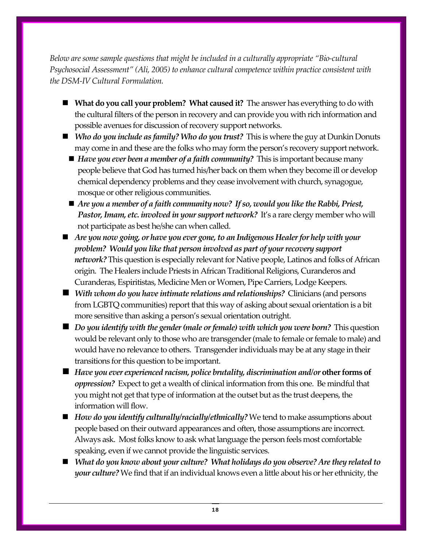*Below are some sample questions that might be included in a culturally appropriate "Bio‐cultural Psychosocial Assessment" (Ali, 2005) to enhance cultural competence within practice consistent with the DSM‐IV Cultural Formulation.*

- **What do you call your problem? What caused it?** The answer has everything to do with the cultural filters of the person in recovery and can provide you with rich information and possible avenues for discussion of recovery support networks.
- *Who do you include as family?Who do you trust?*This is where the guy at Dunkin Donuts may come in and these are the folks who may form the person's recovery support network.
	- *Have you ever been a member of a faith community?* This is important because many people believe that God has turned his/her back on them when they become ill or develop chemical dependency problems and they cease involvement with church, synagogue, mosque or other religious communities.
	- *Are you a member of a faith community now? If so, would you like the Rabbi, Priest, Pastor,Imam, etc.involved in your support network?*It's a rare clergy member who will not participate as best he/she can when called.
- *Are you now going, or have you ever gone, to an Indigenous Healer for help with your problem? Would you like that person involved as part of yourrecovery support network?* This question is especially relevant for Native people, Latinos and folks of African origin. The Healers include Priests in African Traditional Religions, Curanderos and Curanderas, Espiritistas, Medicine Men or Women, Pipe Carriers, Lodge Keepers.
- *With whom do you have intimate relations and relationships?*Clinicians (and persons from LGBTQ communities) report that this way of asking about sexual orientation is a bit more sensitive than asking a person's sexual orientation outright.
- **••** Do you identify with the gender (male or female) with which you were born? This question would be relevant only to those who are transgender (male to female or female to male) and would have no relevance to others. Transgender individuals may be at any stage in their transitions for this question to be important.
- $\blacksquare$  Have you ever experienced racism, police brutality, discrimination and/or other forms of *oppression?* Expect to get a wealth of clinical information from this one. Be mindful that you might not get that type of information at the outset but as the trust deepens, the information will flow.
- *How do you identify culturally/racially/ethnically? We tend to make assumptions about* people based on their outward appearances and often, those assumptions are incorrect. Always ask. Most folks know to ask what language the person feels most comfortable speaking, even if we cannot provide the linguistic services.
- *What do you know about your culture? What holidays do you observe? Are they related to your culture?* We find that if an individual knows even a little about his or her ethnicity, the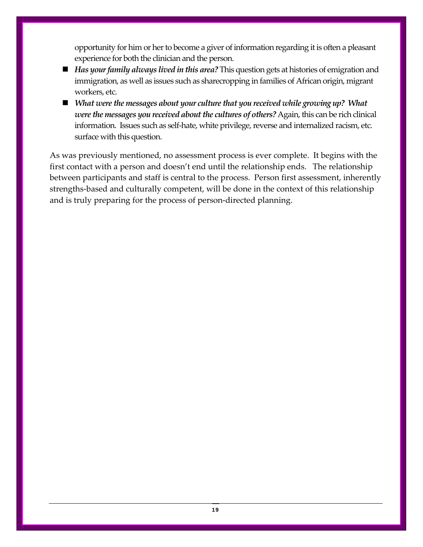opportunity for him or her to become a giver of information regarding it is often a pleasant experience for both the clinician and the person.

- *Has your family always lived in this area?* This question gets at histories of emigration and immigration, as well as issues such as sharecropping in families of African origin, migrant workers, etc.
- *What were the messages about your culture that you received while growing up? What were the messages you received aboutthe cultures of others?* Again, this can be rich clinical information. Issues such as self-hate, white privilege, reverse and internalized racism, etc. surface with this question.

As was previously mentioned, no assessment process is ever complete. It begins with the first contact with a person and doesn't end until the relationship ends. The relationship between participants and staff is central to the process. Person first assessment, inherently strengths‐based and culturally competent, will be done in the context of this relationship and is truly preparing for the process of person‐directed planning.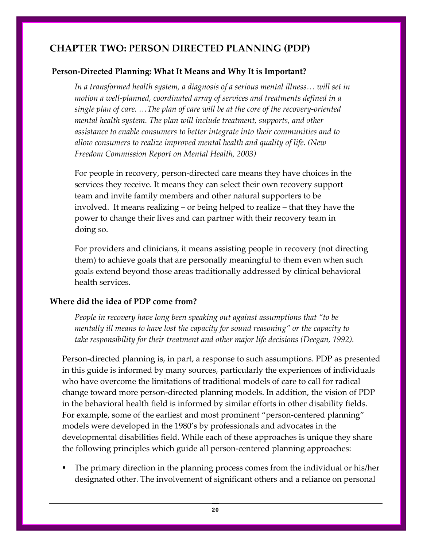## **CHAPTER TWO: PERSON DIRECTED PLANNING (PDP)**

#### **Person‐Directed Planning: What It Means and Why It is Important?**

*In a transformed health system, a diagnosis of a serious mental illness… will set in motion a well‐planned, coordinated array of services and treatments defined in a single plan of care. …The plan of care will be at the core of the recovery‐oriented mental health system. The plan will include treatment, supports, and other assistance to enable consumers to better integrate into their communities and to allow consumers to realize improved mental health and quality of life. (New Freedom Commission Report on Mental Health, 2003)* 

For people in recovery, person‐directed care means they have choices in the services they receive. It means they can select their own recovery support team and invite family members and other natural supporters to be involved. It means realizing – or being helped to realize – that they have the power to change their lives and can partner with their recovery team in doing so.

For providers and clinicians, it means assisting people in recovery (not directing them) to achieve goals that are personally meaningful to them even when such goals extend beyond those areas traditionally addressed by clinical behavioral health services.

#### **Where did the idea of PDP come from?**

*People in recovery have long been speaking out against assumptions that "to be mentally ill means to have lost the capacity for sound reasoning" or the capacity to take responsibility for their treatment and other major life decisions (Deegan, 1992).*

Person‐directed planning is, in part, a response to such assumptions. PDP as presented in this guide is informed by many sources, particularly the experiences of individuals who have overcome the limitations of traditional models of care to call for radical change toward more person‐directed planning models. In addition, the vision of PDP in the behavioral health field is informed by similar efforts in other disability fields. For example, some of the earliest and most prominent "person-centered planning" models were developed in the 1980's by professionals and advocates in the developmental disabilities field. While each of these approaches is unique they share the following principles which guide all person‐centered planning approaches:

 The primary direction in the planning process comes from the individual or his/her designated other. The involvement of significant others and a reliance on personal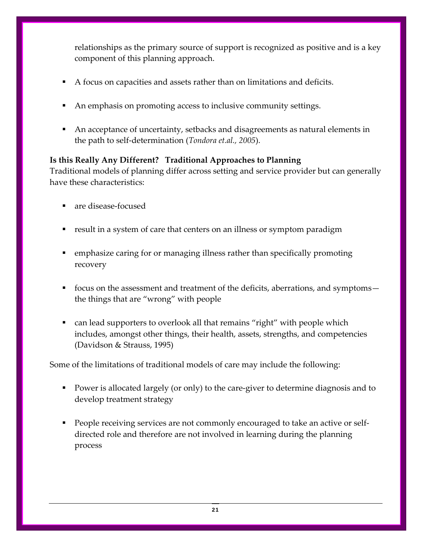relationships as the primary source of support is recognized as positive and is a key component of this planning approach.

- A focus on capacities and assets rather than on limitations and deficits.
- An emphasis on promoting access to inclusive community settings.
- An acceptance of uncertainty, setbacks and disagreements as natural elements in the path to self‐determination (*Tondora et.al., 2005*).

#### **Is this Really Any Different? Traditional Approaches to Planning**

Traditional models of planning differ across setting and service provider but can generally have these characteristics:

- are disease‐focused
- result in a system of care that centers on an illness or symptom paradigm
- emphasize caring for or managing illness rather than specifically promoting recovery
- focus on the assessment and treatment of the deficits, aberrations, and symptoms the things that are "wrong" with people
- can lead supporters to overlook all that remains "right" with people which includes, amongst other things, their health, assets, strengths, and competencies (Davidson & Strauss, 1995)

Some of the limitations of traditional models of care may include the following:

- Power is allocated largely (or only) to the care-giver to determine diagnosis and to develop treatment strategy
- People receiving services are not commonly encouraged to take an active or self– directed role and therefore are not involved in learning during the planning process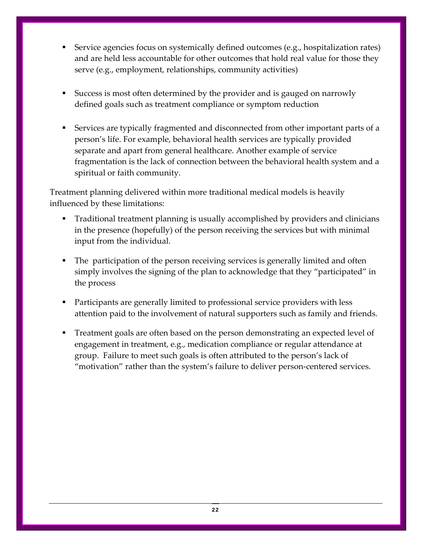- Service agencies focus on systemically defined outcomes (e.g., hospitalization rates) and are held less accountable for other outcomes that hold real value for those they serve (e.g., employment, relationships, community activities)
- Success is most often determined by the provider and is gauged on narrowly defined goals such as treatment compliance or symptom reduction
- Services are typically fragmented and disconnected from other important parts of a person's life. For example, behavioral health services are typically provided separate and apart from general healthcare. Another example of service fragmentation is the lack of connection between the behavioral health system and a spiritual or faith community.

Treatment planning delivered within more traditional medical models is heavily influenced by these limitations:

- Traditional treatment planning is usually accomplished by providers and clinicians in the presence (hopefully) of the person receiving the services but with minimal input from the individual.
- The participation of the person receiving services is generally limited and often simply involves the signing of the plan to acknowledge that they "participated" in the process
- Participants are generally limited to professional service providers with less attention paid to the involvement of natural supporters such as family and friends.
- Treatment goals are often based on the person demonstrating an expected level of engagement in treatment, e.g., medication compliance or regular attendance at group. Failure to meet such goals is often attributed to the person's lack of "motivation" rather than the system's failure to deliver person‐centered services.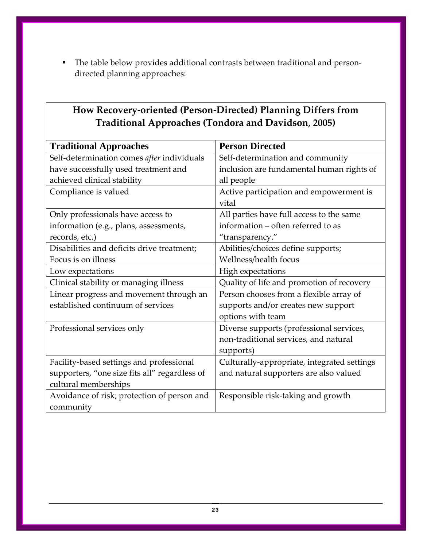■ The table below provides additional contrasts between traditional and persondirected planning approaches:

| <b>Traditional Approaches</b>                 | <b>Person Directed</b>                      |
|-----------------------------------------------|---------------------------------------------|
| Self-determination comes after individuals    | Self-determination and community            |
| have successfully used treatment and          | inclusion are fundamental human rights of   |
| achieved clinical stability                   | all people                                  |
| Compliance is valued                          | Active participation and empowerment is     |
|                                               | vital                                       |
| Only professionals have access to             | All parties have full access to the same    |
| information (e.g., plans, assessments,        | information – often referred to as          |
| records, etc.)                                | "transparency."                             |
| Disabilities and deficits drive treatment;    | Abilities/choices define supports;          |
| Focus is on illness                           | Wellness/health focus                       |
| Low expectations                              | High expectations                           |
| Clinical stability or managing illness        | Quality of life and promotion of recovery   |
| Linear progress and movement through an       | Person chooses from a flexible array of     |
| established continuum of services             | supports and/or creates new support         |
|                                               | options with team                           |
| Professional services only                    | Diverse supports (professional services,    |
|                                               | non-traditional services, and natural       |
|                                               | supports)                                   |
| Facility-based settings and professional      | Culturally-appropriate, integrated settings |
| supporters, "one size fits all" regardless of | and natural supporters are also valued      |
| cultural memberships                          |                                             |
| Avoidance of risk; protection of person and   | Responsible risk-taking and growth          |
| community                                     |                                             |

## **How Recovery‐oriented (Person‐Directed) Planning Differs from Traditional Approaches (Tondora and Davidson, 2005)**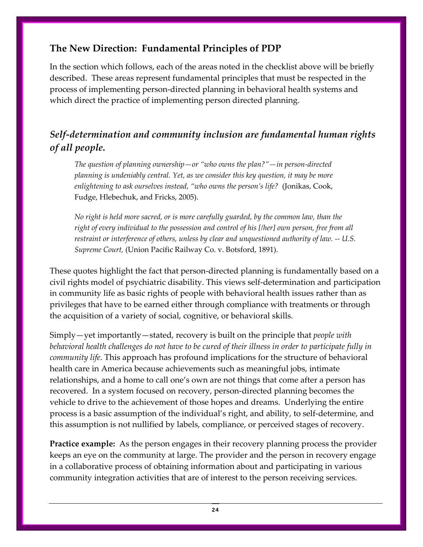## **The New Direction: Fundamental Principles of PDP**

In the section which follows, each of the areas noted in the checklist above will be briefly described. These areas represent fundamental principles that must be respected in the process of implementing person‐directed planning in behavioral health systems and which direct the practice of implementing person directed planning.

## *Self‐determination and community inclusion are fundamental human rights of all people.*

*The question of planning ownership—or "who owns the plan?"—in person‐directed planning is undeniably central. Yet, as we consider this key question, it may be more enlightening to ask ourselves instead, "who owns the person's life?* (Jonikas, Cook, Fudge, Hlebechuk, and Fricks, 2005).

*No right is held more sacred, or is more carefully guarded, by the common law, than the right of every individual to the possession and control of his [/her] own person, free from all restraint or interference of others, unless by clear and unquestioned authority of law. ‐‐ U.S. Supreme Court,* (Union Pacific Railway Co. v. Botsford, 1891).

These quotes highlight the fact that person-directed planning is fundamentally based on a civil rights model of psychiatric disability. This views self‐determination and participation in community life as basic rights of people with behavioral health issues rather than as privileges that have to be earned either through compliance with treatments or through the acquisition of a variety of social, cognitive, or behavioral skills.

Simply—yet importantly—stated, recovery is built on the principle that *people with* behavioral health challenges do not have to be cured of their illness in order to participate fully in *community life*. This approach has profound implications for the structure of behavioral health care in America because achievements such as meaningful jobs, intimate relationships, and a home to call one's own are not things that come after a person has recovered. In a system focused on recovery, person-directed planning becomes the vehicle to drive to the achievement of those hopes and dreams. Underlying the entire process is a basic assumption of the individual's right, and ability, to self‐determine, and this assumption is not nullified by labels, compliance, or perceived stages of recovery.

**Practice example:** As the person engages in their recovery planning process the provider keeps an eye on the community at large. The provider and the person in recovery engage in a collaborative process of obtaining information about and participating in various community integration activities that are of interest to the person receiving services.

24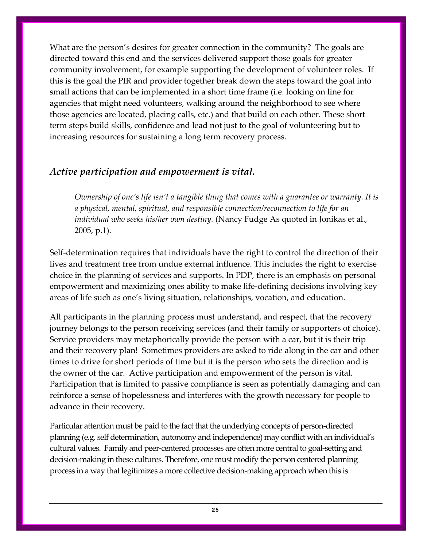What are the person's desires for greater connection in the community? The goals are directed toward this end and the services delivered support those goals for greater community involvement, for example supporting the development of volunteer roles. If this is the goal the PIR and provider together break down the steps toward the goal into small actions that can be implemented in a short time frame (i.e. looking on line for agencies that might need volunteers, walking around the neighborhood to see where those agencies are located, placing calls, etc.) and that build on each other. These short term steps build skills, confidence and lead not just to the goal of volunteering but to increasing resources for sustaining a long term recovery process.

## *Active participation and empowerment is vital.*

*Ownership of one's life isn't a tangible thing that comes with a guarantee or warranty. It is a physical, mental, spiritual, and responsible connection/reconnection to life for an individual who seeks his/her own destiny.* (Nancy Fudge As quoted in Jonikas et al., 2005, p.1).

Self-determination requires that individuals have the right to control the direction of their lives and treatment free from undue external influence. This includes the right to exercise choice in the planning of services and supports. In PDP, there is an emphasis on personal empowerment and maximizing ones ability to make life‐defining decisions involving key areas of life such as one's living situation, relationships, vocation, and education.

All participants in the planning process must understand, and respect, that the recovery journey belongs to the person receiving services (and their family or supporters of choice). Service providers may metaphorically provide the person with a car, but it is their trip and their recovery plan! Sometimes providers are asked to ride along in the car and other times to drive for short periods of time but it is the person who sets the direction and is the owner of the car. Active participation and empowerment of the person is vital. Participation that is limited to passive compliance is seen as potentially damaging and can reinforce a sense of hopelessness and interferes with the growth necessary for people to advance in their recovery.

Particular attention must be paid to the fact that the underlying concepts of person‐directed planning (e.g. self determination, autonomy and independence) may conflict with an individual's cultural values. Family and peer‐centered processes are often more central to goal‐setting and decision-making in these cultures. Therefore, one must modify the person centered planning process in a way that legitimizes a more collective decision‐making approach when this is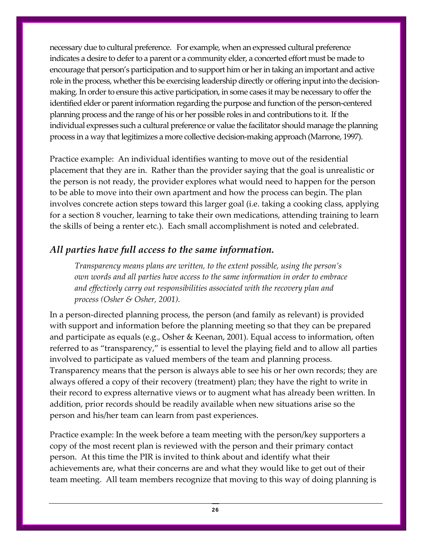necessary due to cultural preference. For example, when an expressed cultural preference indicates a desire to defer to a parent or a community elder, a concerted effort must be made to encourage that person's participation and to support him or her in taking an important and active role in the process, whether this be exercising leadership directly or offering input into the decisionmaking. In order to ensure this active participation, in some cases it may be necessary to offer the identified elder or parent information regarding the purpose and function of the person‐centered planning process and the range of his or her possible roles in and contributions to it. If the individual expresses such a cultural preference or value the facilitator should manage the planning process in a way that legitimizes a more collective decision‐making approach (Marrone, 1997).

Practice example: An individual identifies wanting to move out of the residential placement that they are in. Rather than the provider saying that the goal is unrealistic or the person is not ready, the provider explores what would need to happen for the person to be able to move into their own apartment and how the process can begin. The plan involves concrete action steps toward this larger goal (i.e. taking a cooking class, applying for a section 8 voucher, learning to take their own medications, attending training to learn the skills of being a renter etc.). Each small accomplishment is noted and celebrated.

## *All parties have full access to the same information.*

*Transparency means plans are written, to the extent possible, using the person's own words and all parties have access to the same information in order to embrace and effectively carry out responsibilities associated with the recovery plan and process (Osher & Osher, 2001).*

In a person-directed planning process, the person (and family as relevant) is provided with support and information before the planning meeting so that they can be prepared and participate as equals (e.g., Osher & Keenan, 2001). Equal access to information, often referred to as "transparency," is essential to level the playing field and to allow all parties involved to participate as valued members of the team and planning process. Transparency means that the person is always able to see his or her own records; they are always offered a copy of their recovery (treatment) plan; they have the right to write in their record to express alternative views or to augment what has already been written. In addition, prior records should be readily available when new situations arise so the person and his/her team can learn from past experiences.

Practice example: In the week before a team meeting with the person/key supporters a copy of the most recent plan is reviewed with the person and their primary contact person. At this time the PIR is invited to think about and identify what their achievements are, what their concerns are and what they would like to get out of their team meeting. All team members recognize that moving to this way of doing planning is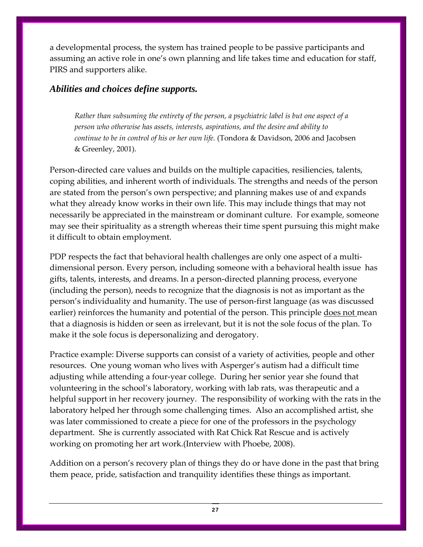a developmental process, the system has trained people to be passive participants and assuming an active role in one's own planning and life takes time and education for staff, PIRS and supporters alike.

#### *Abilities and choices define supports.*

*Rather than subsuming the entirety of the person, a psychiatric label is but one aspect of a person who otherwise has assets, interests, aspirations, and the desire and ability to continue to be in control of his or her own life.* (Tondora & Davidson, 2006 and Jacobsen & Greenley, 2001).

Person-directed care values and builds on the multiple capacities, resiliencies, talents, coping abilities, and inherent worth of individuals. The strengths and needs of the person are stated from the person's own perspective; and planning makes use of and expands what they already know works in their own life. This may include things that may not necessarily be appreciated in the mainstream or dominant culture. For example, someone may see their spirituality as a strength whereas their time spent pursuing this might make it difficult to obtain employment.

PDP respects the fact that behavioral health challenges are only one aspect of a multidimensional person. Every person, including someone with a behavioral health issue has gifts, talents, interests, and dreams. In a person‐directed planning process, everyone (including the person), needs to recognize that the diagnosis is not as important as the person's individuality and humanity. The use of person‐first language (as was discussed earlier) reinforces the humanity and potential of the person. This principle does not mean that a diagnosis is hidden or seen as irrelevant, but it is not the sole focus of the plan. To make it the sole focus is depersonalizing and derogatory.

Practice example: Diverse supports can consist of a variety of activities, people and other resources. One young woman who lives with Asperger's autism had a difficult time adjusting while attending a four‐year college. During her senior year she found that volunteering in the school's laboratory, working with lab rats, was therapeutic and a helpful support in her recovery journey. The responsibility of working with the rats in the laboratory helped her through some challenging times. Also an accomplished artist, she was later commissioned to create a piece for one of the professors in the psychology department. She is currently associated with Rat Chick Rat Rescue and is actively working on promoting her art work.(Interview with Phoebe, 2008).

Addition on a person's recovery plan of things they do or have done in the past that bring them peace, pride, satisfaction and tranquility identifies these things as important.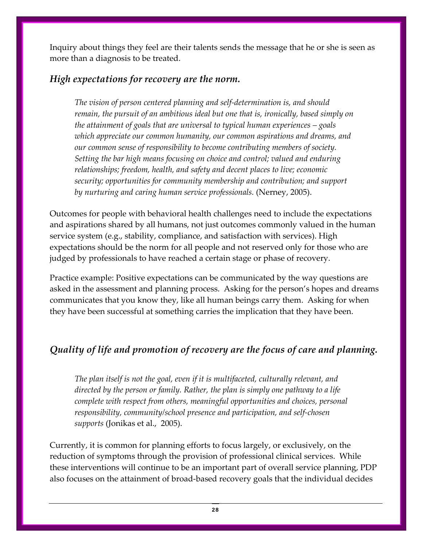Inquiry about things they feel are their talents sends the message that he or she is seen as more than a diagnosis to be treated.

## *High expectations for recovery are the norm.*

*The vision of person centered planning and self‐determination is, and should remain, the pursuit of an ambitious ideal but one that is, ironically, based simply on the attainment of goals that are universal to typical human experiences – goals which appreciate our common humanity, our common aspirations and dreams, and our common sense of responsibility to become contributing members of society. Setting the bar high means focusing on choice and control; valued and enduring relationships; freedom, health, and safety and decent places to live; economic security; opportunities for community membership and contribution; and support by nurturing and caring human service professionals.* (Nerney, 2005).

Outcomes for people with behavioral health challenges need to include the expectations and aspirations shared by all humans, not just outcomes commonly valued in the human service system (e.g., stability, compliance, and satisfaction with services). High expectations should be the norm for all people and not reserved only for those who are judged by professionals to have reached a certain stage or phase of recovery.

Practice example: Positive expectations can be communicated by the way questions are asked in the assessment and planning process. Asking for the person's hopes and dreams communicates that you know they, like all human beings carry them. Asking for when they have been successful at something carries the implication that they have been.

## *Quality of life and promotion of recovery are the focus of care and planning.*

*The plan itself is not the goal, even if it is multifaceted, culturally relevant, and directed by the person or family. Rather, the plan is simply one pathway to a life complete with respect from others, meaningful opportunities and choices, personal responsibility, community/school presence and participation, and self‐chosen supports* (Jonikas et al., 2005).

Currently, it is common for planning efforts to focus largely, or exclusively, on the reduction of symptoms through the provision of professional clinical services. While these interventions will continue to be an important part of overall service planning, PDP also focuses on the attainment of broad‐based recovery goals that the individual decides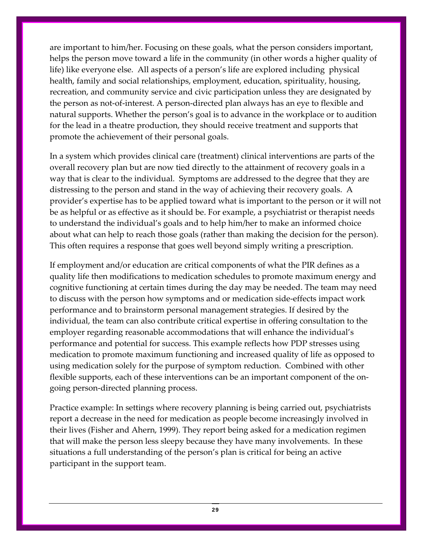are important to him/her. Focusing on these goals, what the person considers important, helps the person move toward a life in the community (in other words a higher quality of life) like everyone else. All aspects of a person's life are explored including physical health, family and social relationships, employment, education, spirituality, housing, recreation, and community service and civic participation unless they are designated by the person as not‐of‐interest. A person‐directed plan always has an eye to flexible and natural supports. Whether the person's goal is to advance in the workplace or to audition for the lead in a theatre production, they should receive treatment and supports that promote the achievement of their personal goals.

In a system which provides clinical care (treatment) clinical interventions are parts of the overall recovery plan but are now tied directly to the attainment of recovery goals in a way that is clear to the individual. Symptoms are addressed to the degree that they are distressing to the person and stand in the way of achieving their recovery goals. A provider's expertise has to be applied toward what is important to the person or it will not be as helpful or as effective as it should be. For example, a psychiatrist or therapist needs to understand the individual's goals and to help him/her to make an informed choice about what can help to reach those goals (rather than making the decision for the person). This often requires a response that goes well beyond simply writing a prescription.

If employment and/or education are critical components of what the PIR defines as a quality life then modifications to medication schedules to promote maximum energy and cognitive functioning at certain times during the day may be needed. The team may need to discuss with the person how symptoms and or medication side‐effects impact work performance and to brainstorm personal management strategies. If desired by the individual, the team can also contribute critical expertise in offering consultation to the employer regarding reasonable accommodations that will enhance the individual's performance and potential for success. This example reflects how PDP stresses using medication to promote maximum functioning and increased quality of life as opposed to using medication solely for the purpose of symptom reduction. Combined with other flexible supports, each of these interventions can be an important component of the ongoing person‐directed planning process.

Practice example: In settings where recovery planning is being carried out, psychiatrists report a decrease in the need for medication as people become increasingly involved in their lives (Fisher and Ahern, 1999). They report being asked for a medication regimen that will make the person less sleepy because they have many involvements. In these situations a full understanding of the person's plan is critical for being an active participant in the support team.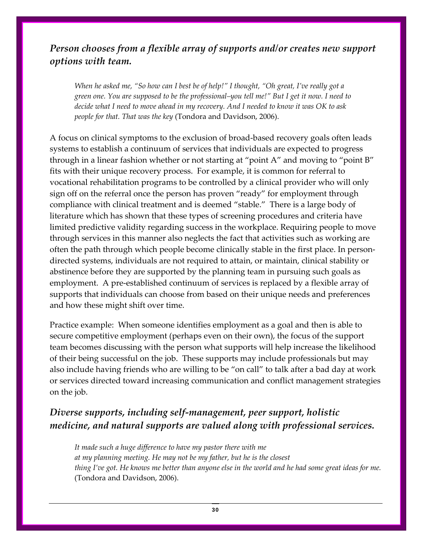## *Person chooses from a flexible array of supports and/or creates new support options with team.*

When he asked me, "So how can I best be of help!" I thought, "Oh great, I've really got a green one. You are supposed to be the professional–you tell me!" But I get it now. I need to decide what I need to move ahead in my recovery. And I needed to know it was OK to ask *people for that. That was the key* (Tondora and Davidson, 2006).

A focus on clinical symptoms to the exclusion of broad‐based recovery goals often leads systems to establish a continuum of services that individuals are expected to progress through in a linear fashion whether or not starting at "point A" and moving to "point B" fits with their unique recovery process. For example, it is common for referral to vocational rehabilitation programs to be controlled by a clinical provider who will only sign off on the referral once the person has proven "ready" for employment through compliance with clinical treatment and is deemed "stable." There is a large body of literature which has shown that these types of screening procedures and criteria have limited predictive validity regarding success in the workplace. Requiring people to move through services in this manner also neglects the fact that activities such as working are often the path through which people become clinically stable in the first place. In person‐ directed systems, individuals are not required to attain, or maintain, clinical stability or abstinence before they are supported by the planning team in pursuing such goals as employment. A pre-established continuum of services is replaced by a flexible array of supports that individuals can choose from based on their unique needs and preferences and how these might shift over time.

Practice example: When someone identifies employment as a goal and then is able to secure competitive employment (perhaps even on their own), the focus of the support team becomes discussing with the person what supports will help increase the likelihood of their being successful on the job. These supports may include professionals but may also include having friends who are willing to be "on call" to talk after a bad day at work or services directed toward increasing communication and conflict management strategies on the job.

## *Diverse supports, including self‐management, peer support, holistic medicine, and natural supports are valued along with professional services.*

*It made such a huge difference to have my pastor there with me at my planning meeting. He may not be my father, but he is the closest*  thing I've got. He knows me better than anyone else in the world and he had some great ideas for me. (Tondora and Davidson, 2006).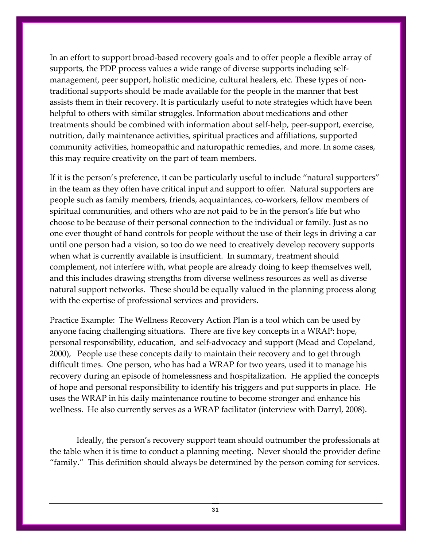In an effort to support broad‐based recovery goals and to offer people a flexible array of supports, the PDP process values a wide range of diverse supports including selfmanagement, peer support, holistic medicine, cultural healers, etc. These types of nontraditional supports should be made available for the people in the manner that best assists them in their recovery. It is particularly useful to note strategies which have been helpful to others with similar struggles. Information about medications and other treatments should be combined with information about self‐help, peer‐support, exercise, nutrition, daily maintenance activities, spiritual practices and affiliations, supported community activities, homeopathic and naturopathic remedies, and more. In some cases, this may require creativity on the part of team members.

If it is the person's preference, it can be particularly useful to include "natural supporters" in the team as they often have critical input and support to offer. Natural supporters are people such as family members, friends, acquaintances, co‐workers, fellow members of spiritual communities, and others who are not paid to be in the person's life but who choose to be because of their personal connection to the individual or family. Just as no one ever thought of hand controls for people without the use of their legs in driving a car until one person had a vision, so too do we need to creatively develop recovery supports when what is currently available is insufficient. In summary, treatment should complement, not interfere with, what people are already doing to keep themselves well, and this includes drawing strengths from diverse wellness resources as well as diverse natural support networks. These should be equally valued in the planning process along with the expertise of professional services and providers.

Practice Example: The Wellness Recovery Action Plan is a tool which can be used by anyone facing challenging situations. There are five key concepts in a WRAP: hope, personal responsibility, education, and self‐advocacy and support (Mead and Copeland, 2000), People use these concepts daily to maintain their recovery and to get through difficult times. One person, who has had a WRAP for two years, used it to manage his recovery during an episode of homelessness and hospitalization. He applied the concepts of hope and personal responsibility to identify his triggers and put supports in place. He uses the WRAP in his daily maintenance routine to become stronger and enhance his wellness. He also currently serves as a WRAP facilitator (interview with Darryl, 2008).

Ideally, the person's recovery support team should outnumber the professionals at the table when it is time to conduct a planning meeting. Never should the provider define "family." This definition should always be determined by the person coming for services.

31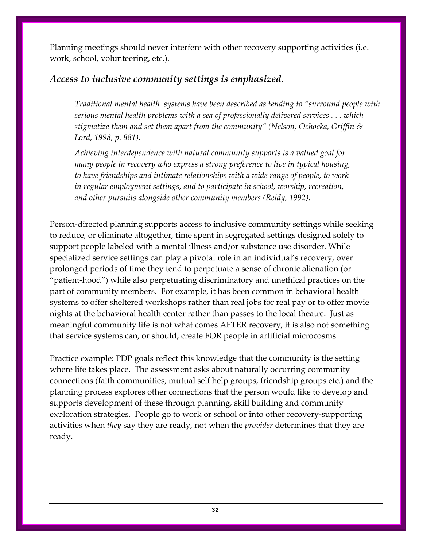Planning meetings should never interfere with other recovery supporting activities (i.e. work, school, volunteering, etc.).

## *Access to inclusive community settings is emphasized.*

*Traditional mental health systems have been described as tending to "surround people with serious mental health problems with a sea of professionally delivered services . . . which stigmatize them and set them apart from the community" (Nelson, Ochocka, Griffin & Lord, 1998, p. 881).*

*Achieving interdependence with natural community supports is a valued goal for many people in recovery who express a strong preference to live in typical housing, to have friendships and intimate relationships with a wide range of people, to work in regular employment settings, and to participate in school, worship, recreation, and other pursuits alongside other community members (Reidy, 1992).* 

Person-directed planning supports access to inclusive community settings while seeking to reduce, or eliminate altogether, time spent in segregated settings designed solely to support people labeled with a mental illness and/or substance use disorder. While specialized service settings can play a pivotal role in an individual's recovery, over prolonged periods of time they tend to perpetuate a sense of chronic alienation (or "patient‐hood") while also perpetuating discriminatory and unethical practices on the part of community members. For example, it has been common in behavioral health systems to offer sheltered workshops rather than real jobs for real pay or to offer movie nights at the behavioral health center rather than passes to the local theatre. Just as meaningful community life is not what comes AFTER recovery, it is also not something that service systems can, or should, create FOR people in artificial microcosms.

Practice example: PDP goals reflect this knowledge that the community is the setting where life takes place. The assessment asks about naturally occurring community connections (faith communities, mutual self help groups, friendship groups etc.) and the planning process explores other connections that the person would like to develop and supports development of these through planning, skill building and community exploration strategies. People go to work or school or into other recovery‐supporting activities when *they* say they are ready, not when the *provider* determines that they are ready.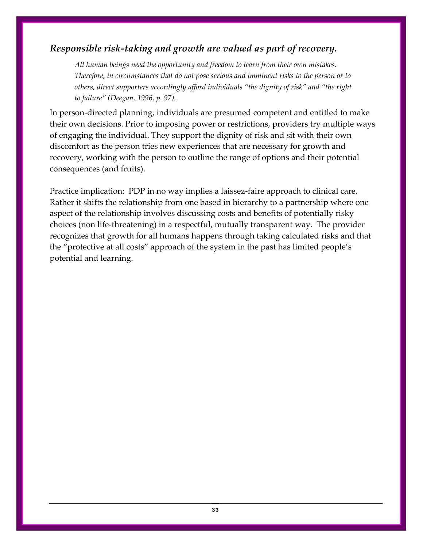## *Responsible risk‐taking and growth are valued as part of recovery.*

*All human beings need the opportunity and freedom to learn from their own mistakes. Therefore, in circumstances that do not pose serious and imminent risks to the person or to others, direct supporters accordingly afford individuals "the dignity of risk" and "the right to failure" (Deegan, 1996, p. 97).*

In person-directed planning, individuals are presumed competent and entitled to make their own decisions. Prior to imposing power or restrictions, providers try multiple ways of engaging the individual. They support the dignity of risk and sit with their own discomfort as the person tries new experiences that are necessary for growth and recovery, working with the person to outline the range of options and their potential consequences (and fruits).

Practice implication: PDP in no way implies a laissez-faire approach to clinical care. Rather it shifts the relationship from one based in hierarchy to a partnership where one aspect of the relationship involves discussing costs and benefits of potentially risky choices (non life‐threatening) in a respectful, mutually transparent way. The provider recognizes that growth for all humans happens through taking calculated risks and that the "protective at all costs" approach of the system in the past has limited people's potential and learning.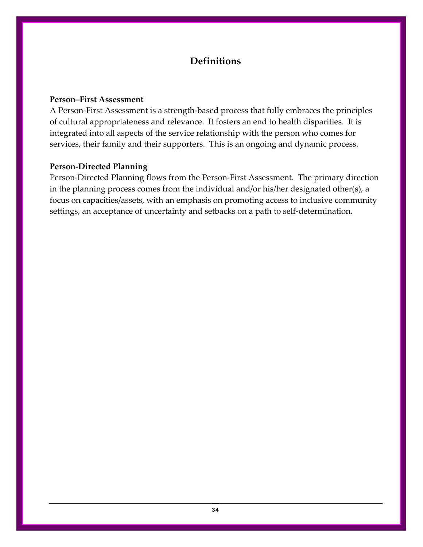## **Definitions**

#### **Person–First Assessment**

A Person‐First Assessment is a strength‐based process that fully embraces the principles of cultural appropriateness and relevance. It fosters an end to health disparities. It is integrated into all aspects of the service relationship with the person who comes for services, their family and their supporters. This is an ongoing and dynamic process.

#### **Person‐Directed Planning**

Person‐Directed Planning flows from the Person‐First Assessment. The primary direction in the planning process comes from the individual and/or his/her designated other(s), a focus on capacities/assets, with an emphasis on promoting access to inclusive community settings, an acceptance of uncertainty and setbacks on a path to self‐determination.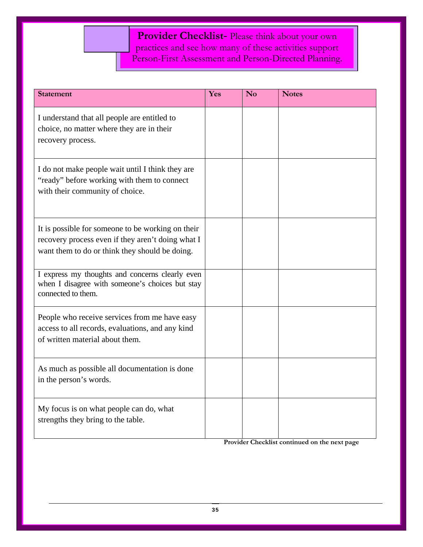**Provider Checklist**- Please think about your own practices and see how many of these activities support Person-First Assessment and Person-Directed Planning.

| <b>Statement</b>                                                                                                                                         | Yes | N <sub>0</sub> | <b>Notes</b> |
|----------------------------------------------------------------------------------------------------------------------------------------------------------|-----|----------------|--------------|
| I understand that all people are entitled to<br>choice, no matter where they are in their<br>recovery process.                                           |     |                |              |
| I do not make people wait until I think they are<br>"ready" before working with them to connect<br>with their community of choice.                       |     |                |              |
| It is possible for someone to be working on their<br>recovery process even if they aren't doing what I<br>want them to do or think they should be doing. |     |                |              |
| I express my thoughts and concerns clearly even<br>when I disagree with someone's choices but stay<br>connected to them.                                 |     |                |              |
| People who receive services from me have easy<br>access to all records, evaluations, and any kind<br>of written material about them.                     |     |                |              |
| As much as possible all documentation is done<br>in the person's words.                                                                                  |     |                |              |
| My focus is on what people can do, what<br>strengths they bring to the table.                                                                            |     |                |              |

**Provider Checklist continued on the next page**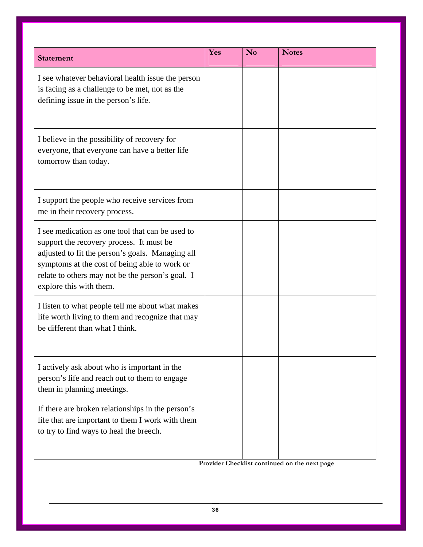| <b>Statement</b>                                                                                                                                                                                                                                                                 | Yes | N <sub>o</sub> | <b>Notes</b> |
|----------------------------------------------------------------------------------------------------------------------------------------------------------------------------------------------------------------------------------------------------------------------------------|-----|----------------|--------------|
| I see whatever behavioral health issue the person<br>is facing as a challenge to be met, not as the<br>defining issue in the person's life.                                                                                                                                      |     |                |              |
| I believe in the possibility of recovery for<br>everyone, that everyone can have a better life<br>tomorrow than today.                                                                                                                                                           |     |                |              |
| I support the people who receive services from<br>me in their recovery process.                                                                                                                                                                                                  |     |                |              |
| I see medication as one tool that can be used to<br>support the recovery process. It must be<br>adjusted to fit the person's goals. Managing all<br>symptoms at the cost of being able to work or<br>relate to others may not be the person's goal. I<br>explore this with them. |     |                |              |
| I listen to what people tell me about what makes<br>life worth living to them and recognize that may<br>be different than what I think.                                                                                                                                          |     |                |              |
| I actively ask about who is important in the<br>person's life and reach out to them to engage<br>them in planning meetings.                                                                                                                                                      |     |                |              |
| If there are broken relationships in the person's<br>life that are important to them I work with them<br>to try to find ways to heal the breech.                                                                                                                                 |     |                |              |

**Provider Checklist continued on the next page**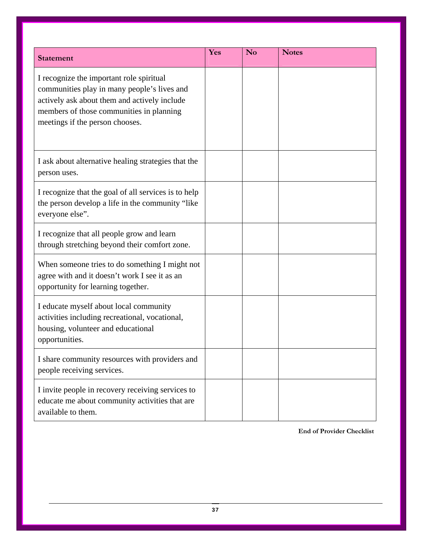| <b>Statement</b>                                                                                                                                                                                                       | Yes | N <sub>0</sub> | <b>Notes</b> |
|------------------------------------------------------------------------------------------------------------------------------------------------------------------------------------------------------------------------|-----|----------------|--------------|
| I recognize the important role spiritual<br>communities play in many people's lives and<br>actively ask about them and actively include<br>members of those communities in planning<br>meetings if the person chooses. |     |                |              |
| I ask about alternative healing strategies that the<br>person uses.                                                                                                                                                    |     |                |              |
| I recognize that the goal of all services is to help<br>the person develop a life in the community "like"<br>everyone else".                                                                                           |     |                |              |
| I recognize that all people grow and learn<br>through stretching beyond their comfort zone.                                                                                                                            |     |                |              |
| When someone tries to do something I might not<br>agree with and it doesn't work I see it as an<br>opportunity for learning together.                                                                                  |     |                |              |
| I educate myself about local community<br>activities including recreational, vocational,<br>housing, volunteer and educational<br>opportunities.                                                                       |     |                |              |
| I share community resources with providers and<br>people receiving services.                                                                                                                                           |     |                |              |
| I invite people in recovery receiving services to<br>educate me about community activities that are<br>available to them.                                                                                              |     |                |              |

**End of Provider Checklist**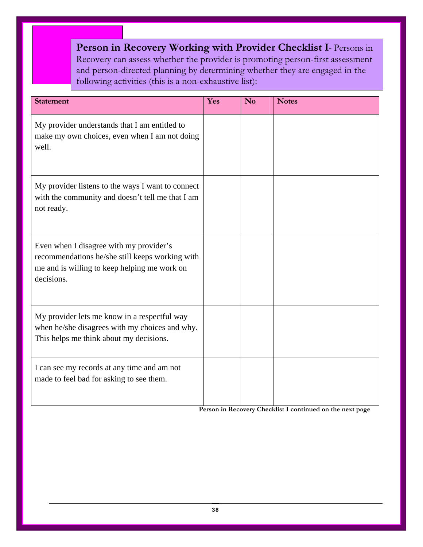**Person in Recovery Working with Provider Checklist I**- Persons in Recovery can assess whether the provider is promoting person-first assessment and person-directed planning by determining whether they are engaged in the following activities (this is a non-exhaustive list):

| <b>Statement</b>                                                                                                                                         | Yes | N <sub>0</sub> | <b>Notes</b> |
|----------------------------------------------------------------------------------------------------------------------------------------------------------|-----|----------------|--------------|
| My provider understands that I am entitled to<br>make my own choices, even when I am not doing<br>well.                                                  |     |                |              |
| My provider listens to the ways I want to connect<br>with the community and doesn't tell me that I am<br>not ready.                                      |     |                |              |
| Even when I disagree with my provider's<br>recommendations he/she still keeps working with<br>me and is willing to keep helping me work on<br>decisions. |     |                |              |
| My provider lets me know in a respectful way<br>when he/she disagrees with my choices and why.<br>This helps me think about my decisions.                |     |                |              |
| I can see my records at any time and am not<br>made to feel bad for asking to see them.                                                                  |     |                |              |

**Person in Recovery Checklist I continued on the next page**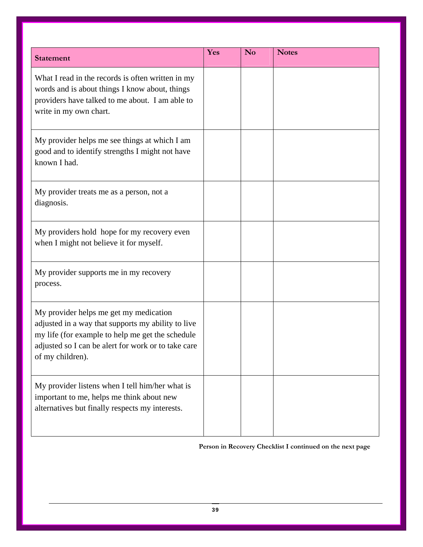| <b>Statement</b>                                                                                                                                                                                                            | Yes | N <sub>o</sub> | <b>Notes</b> |
|-----------------------------------------------------------------------------------------------------------------------------------------------------------------------------------------------------------------------------|-----|----------------|--------------|
| What I read in the records is often written in my<br>words and is about things I know about, things<br>providers have talked to me about. I am able to<br>write in my own chart.                                            |     |                |              |
| My provider helps me see things at which I am<br>good and to identify strengths I might not have<br>known I had.                                                                                                            |     |                |              |
| My provider treats me as a person, not a<br>diagnosis.                                                                                                                                                                      |     |                |              |
| My providers hold hope for my recovery even<br>when I might not believe it for myself.                                                                                                                                      |     |                |              |
| My provider supports me in my recovery<br>process.                                                                                                                                                                          |     |                |              |
| My provider helps me get my medication<br>adjusted in a way that supports my ability to live<br>my life (for example to help me get the schedule<br>adjusted so I can be alert for work or to take care<br>of my children). |     |                |              |
| My provider listens when I tell him/her what is<br>important to me, helps me think about new<br>alternatives but finally respects my interests.                                                                             |     |                |              |

#### **Person in Recovery Checklist I continued on the next page**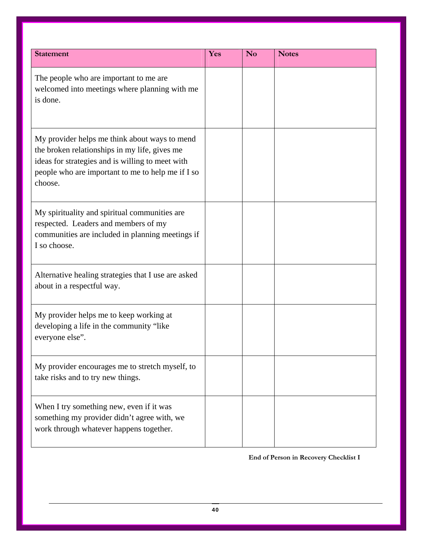| <b>Statement</b>                                                                                                                                                                                                   | Yes | <b>No</b> | <b>Notes</b> |
|--------------------------------------------------------------------------------------------------------------------------------------------------------------------------------------------------------------------|-----|-----------|--------------|
| The people who are important to me are<br>welcomed into meetings where planning with me<br>is done.                                                                                                                |     |           |              |
| My provider helps me think about ways to mend<br>the broken relationships in my life, gives me<br>ideas for strategies and is willing to meet with<br>people who are important to me to help me if I so<br>choose. |     |           |              |
| My spirituality and spiritual communities are<br>respected. Leaders and members of my<br>communities are included in planning meetings if<br>I so choose.                                                          |     |           |              |
| Alternative healing strategies that I use are asked<br>about in a respectful way.                                                                                                                                  |     |           |              |
| My provider helps me to keep working at<br>developing a life in the community "like"<br>everyone else".                                                                                                            |     |           |              |
| My provider encourages me to stretch myself, to<br>take risks and to try new things.                                                                                                                               |     |           |              |
| When I try something new, even if it was<br>something my provider didn't agree with, we<br>work through whatever happens together.                                                                                 |     |           |              |

#### **End of Person in Recovery Checklist I**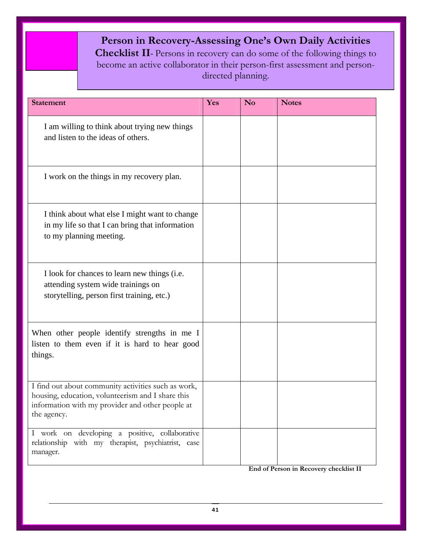## **Person in Recovery-Assessing One's Own Daily Activities**

**Checklist II**- Persons in recovery can do some of the following things to become an active collaborator in their person-first assessment and persondirected planning.

| <b>Statement</b>                                                                                                                                                            | Yes | N <sub>o</sub> | <b>Notes</b> |
|-----------------------------------------------------------------------------------------------------------------------------------------------------------------------------|-----|----------------|--------------|
| I am willing to think about trying new things<br>and listen to the ideas of others.                                                                                         |     |                |              |
| I work on the things in my recovery plan.                                                                                                                                   |     |                |              |
| I think about what else I might want to change<br>in my life so that I can bring that information<br>to my planning meeting.                                                |     |                |              |
| I look for chances to learn new things (i.e.<br>attending system wide trainings on<br>storytelling, person first training, etc.)                                            |     |                |              |
| When other people identify strengths in me I<br>listen to them even if it is hard to hear good<br>things.                                                                   |     |                |              |
| I find out about community activities such as work,<br>housing, education, volunteerism and I share this<br>information with my provider and other people at<br>the agency. |     |                |              |
| I work on developing a positive, collaborative<br>relationship with my therapist, psychiatrist, case<br>manager.                                                            |     |                |              |

**End of Person in Recovery checklist II**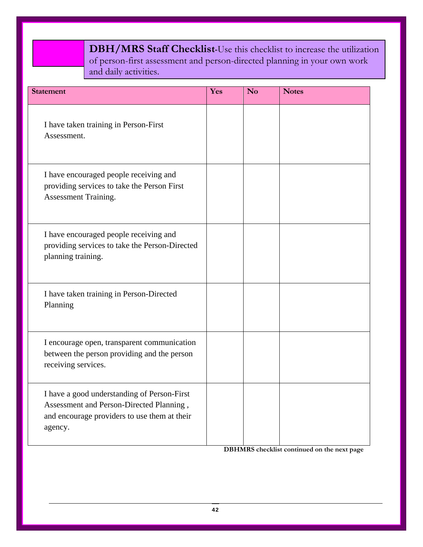**DBH/MRS Staff Checklist-**Use this checklist to increase the utilization of person-first assessment and person-directed planning in your own work and daily activities.

֦

| <b>Statement</b>                                                                                                                                   | Yes | <b>No</b> | <b>Notes</b> |
|----------------------------------------------------------------------------------------------------------------------------------------------------|-----|-----------|--------------|
| I have taken training in Person-First<br>Assessment.                                                                                               |     |           |              |
| I have encouraged people receiving and<br>providing services to take the Person First<br>Assessment Training.                                      |     |           |              |
| I have encouraged people receiving and<br>providing services to take the Person-Directed<br>planning training.                                     |     |           |              |
| I have taken training in Person-Directed<br>Planning                                                                                               |     |           |              |
| I encourage open, transparent communication<br>between the person providing and the person<br>receiving services.                                  |     |           |              |
| I have a good understanding of Person-First<br>Assessment and Person-Directed Planning,<br>and encourage providers to use them at their<br>agency. |     |           |              |

**DBHMRS checklist continued on the next page**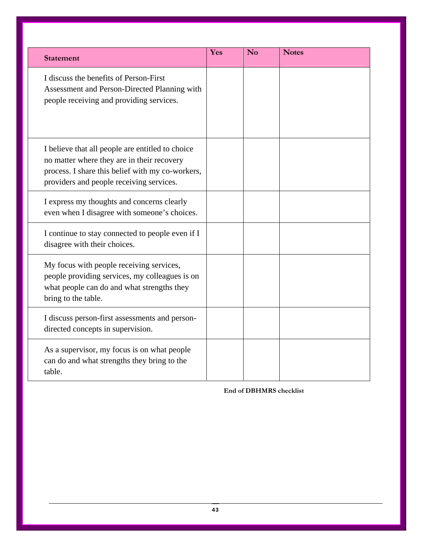| <b>Statement</b>                                                                                                                                                                               | Yes | <b>No</b> | <b>Notes</b> |
|------------------------------------------------------------------------------------------------------------------------------------------------------------------------------------------------|-----|-----------|--------------|
| I discuss the benefits of Person-First<br>Assessment and Person-Directed Planning with<br>people receiving and providing services.                                                             |     |           |              |
| I believe that all people are entitled to choice<br>no matter where they are in their recovery<br>process. I share this belief with my co-workers,<br>providers and people receiving services. |     |           |              |
| I express my thoughts and concerns clearly<br>even when I disagree with someone's choices.                                                                                                     |     |           |              |
| I continue to stay connected to people even if I<br>disagree with their choices.                                                                                                               |     |           |              |
| My focus with people receiving services,<br>people providing services, my colleagues is on<br>what people can do and what strengths they<br>bring to the table.                                |     |           |              |
| I discuss person-first assessments and person-<br>directed concepts in supervision.                                                                                                            |     |           |              |
| As a supervisor, my focus is on what people<br>can do and what strengths they bring to the<br>table.                                                                                           |     |           |              |

**End of DBHMRS checklist**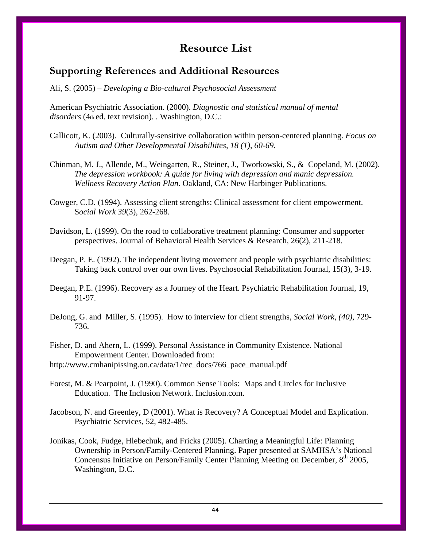## **Resource List**

#### **Supporting References and Additional Resources**

Ali, S. (2005) – *Developing a Bio-cultural Psychosocial Assessment*

American Psychiatric Association. (2000). *Diagnostic and statistical manual of mental disorders* (4th ed. text revision). . Washington, D.C.:

- Callicott, K. (2003). Culturally-sensitive collaboration within person-centered planning. *Focus on Autism and Other Developmental Disabiliites, 18 (1), 60-69.*
- Chinman, M. J., Allende, M., Weingarten, R., Steiner, J., Tworkowski, S., & Copeland, M. (2002). *The depression workbook: A guide for living with depression and manic depression. Wellness Recovery Action Plan*. Oakland, CA: New Harbinger Publications.
- Cowger, C.D. (1994). Assessing client strengths: Clinical assessment for client empowerment. S*ocial Work 39*(3), 262-268.
- Davidson, L. (1999). On the road to collaborative treatment planning: Consumer and supporter perspectives. Journal of Behavioral Health Services & Research, 26(2), 211-218.
- Deegan, P. E. (1992). The independent living movement and people with psychiatric disabilities: Taking back control over our own lives. Psychosocial Rehabilitation Journal, 15(3), 3-19.
- Deegan, P.E. (1996). Recovery as a Journey of the Heart. Psychiatric Rehabilitation Journal, 19, 91-97.
- DeJong, G. and Miller, S. (1995). How to interview for client strengths, *Social Work, (40),* 729- 736.
- Fisher, D. and Ahern, L. (1999). Personal Assistance in Community Existence. National Empowerment Center. Downloaded from:

http://www.cmhanipissing.on.ca/data/1/rec\_docs/766\_pace\_manual.pdf

- Forest, M. & Pearpoint, J. (1990). Common Sense Tools: Maps and Circles for Inclusive Education. The Inclusion Network. Inclusion.com.
- Jacobson, N. and Greenley, D (2001). What is Recovery? A Conceptual Model and Explication. Psychiatric Services, 52, 482-485.
- Jonikas, Cook, Fudge, Hlebechuk, and Fricks (2005). Charting a Meaningful Life: Planning Ownership in Person/Family-Centered Planning. Paper presented at SAMHSA's National Concensus Initiative on Person/Family Center Planning Meeting on December, 8<sup>th</sup> 2005, Washington, D.C.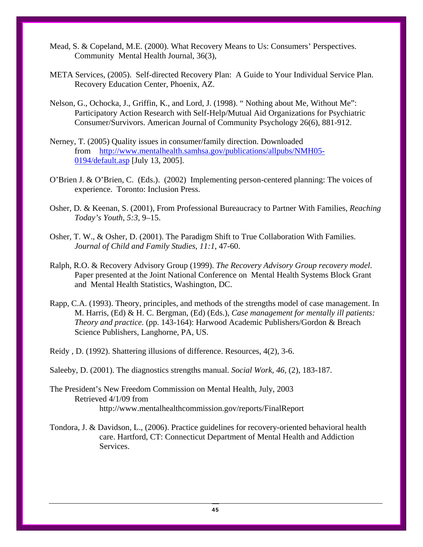- Mead, S. & Copeland, M.E. (2000). What Recovery Means to Us: Consumers' Perspectives. Community Mental Health Journal, 36(3),
- META Services, (2005). Self-directed Recovery Plan: A Guide to Your Individual Service Plan. Recovery Education Center, Phoenix, AZ.
- Nelson, G., Ochocka, J., Griffin, K., and Lord, J. (1998). " Nothing about Me, Without Me": Participatory Action Research with Self-Help/Mutual Aid Organizations for Psychiatric Consumer/Survivors. American Journal of Community Psychology 26(6), 881-912.
- Nerney, T. (2005) Quality issues in consumer/family direction. Downloaded from [http://www.mentalhealth.samhsa.gov/publications/allpubs/NMH05-](http://www.mentalhealth.samhsa.gov/publications/allpubs/NMH05-0194/default.asp) [0194/default.asp](http://www.mentalhealth.samhsa.gov/publications/allpubs/NMH05-0194/default.asp) [July 13, 2005].
- O'Brien J. & O'Brien, C. (Eds.). (2002) Implementing person-centered planning: The voices of experience. Toronto: Inclusion Press.
- Osher, D. & Keenan, S. (2001), From Professional Bureaucracy to Partner With Families, *Reaching Today's Youth, 5:3,* 9–15.
- Osher, T. W., & Osher, D. (2001). The Paradigm Shift to True Collaboration With Families. *Journal of Child and Family Studies, 11:1*, 47-60.
- Ralph, R.O. & Recovery Advisory Group (1999). *The Recovery Advisory Group recovery model*. Paper presented at the Joint National Conference on Mental Health Systems Block Grant and Mental Health Statistics, Washington, DC.
- Rapp, C.A. (1993). Theory, principles, and methods of the strengths model of case management. In M. Harris, (Ed) & H. C. Bergman, (Ed) (Eds.), *Case management for mentally ill patients: Theory and practice.* (pp. 143-164): Harwood Academic Publishers/Gordon & Breach Science Publishers, Langhorne, PA, US.

Reidy , D. (1992). Shattering illusions of difference. Resources, 4(2), 3-6.

Saleeby, D. (2001). The diagnostics strengths manual. *Social Work, 46,* (2), 183-187.

- The President's New Freedom Commission on Mental Health, July, 2003 Retrieved 4/1/09 from http://www.mentalhealthcommission.gov/reports/FinalReport
- Tondora, J. & Davidson, L., (2006). Practice guidelines for recovery-oriented behavioral health care. Hartford, CT: Connecticut Department of Mental Health and Addiction Services.